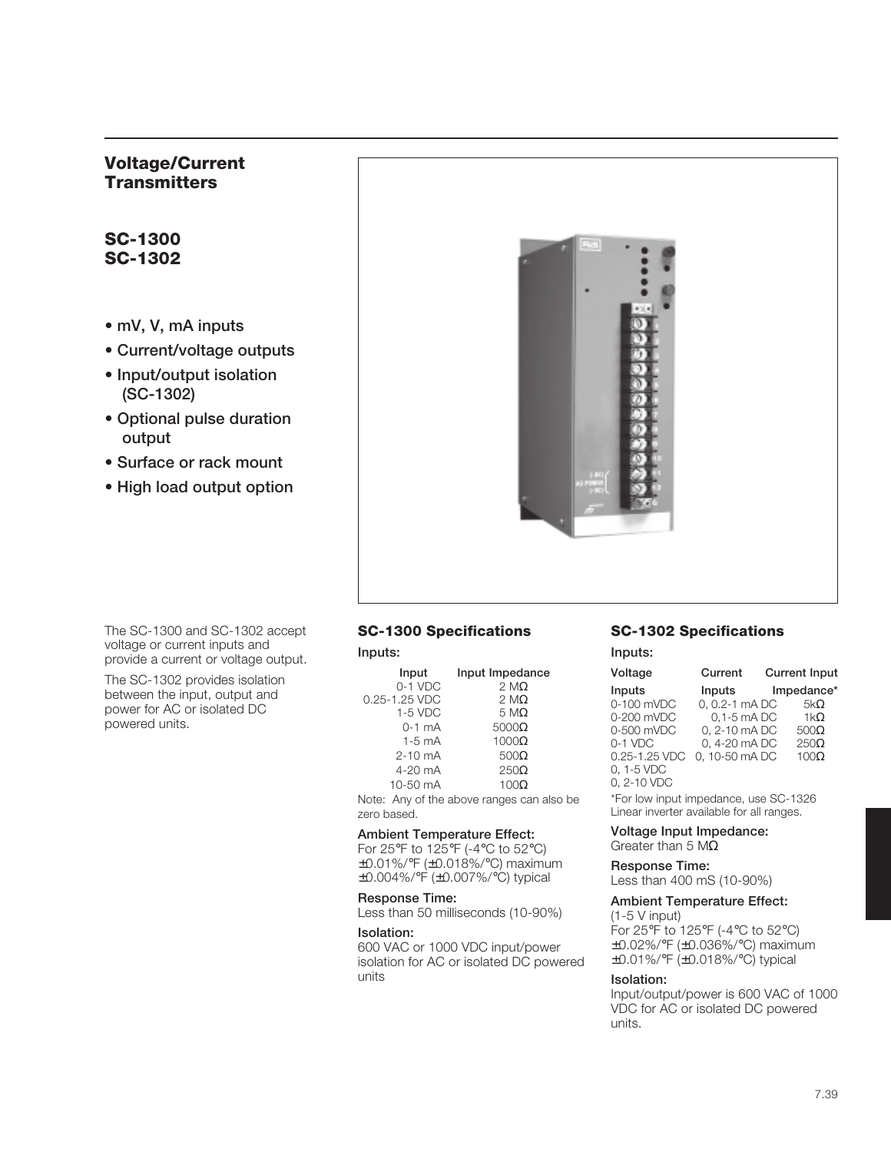# **Voltage/Current Transmitters**

# **SC-1300 SC-1302**

- **mV, V, mA inputs**
- **Current/voltage outputs**
- **Input/output isolation (SC-1302)**
- **Optional pulse duration output**
- **Surface or rack mount**
- **High load output option**



The SC-1300 and SC-1302 accept voltage or current inputs and provide a current or voltage output.

The SC-1302 provides isolation between the input, output and power for AC or isolated DC powered units.

# **SC-1300 Specifications**

#### **Inputs:**

| Input              | Input Impedance  |
|--------------------|------------------|
| $0-1$ VDC          | $2 M\Omega$      |
| 0.25-1.25 VDC      | $2 M\Omega$      |
| $1-5$ VDC          | $5 M\Omega$      |
| $0-1$ mA           | $5000\Omega$     |
| $1-5$ mA           | $1000\Omega$     |
| $2 - 10$ mA        | $500\Omega$      |
| $4-20$ mA          | $250\Omega$      |
| $10-50 \text{ mA}$ | 100 <sub>Q</sub> |

Note: Any of the above ranges can also be zero based.

#### **Ambient Temperature Effect:**

For 25°F to 125°F (-4°C to 52°C) ±0.01%/°F (±0.018%/°C) maximum ±0.004%/°F (±0.007%/°C) typical

#### **Response Time:**

Less than 50 milliseconds (10-90%)

#### **Isolation:**

600 VAC or 1000 VDC input/power isolation for AC or isolated DC powered units

## **SC-1302 Specifications**

**Inputs:**

| Voltage       | Current         | <b>Current Input</b> |
|---------------|-----------------|----------------------|
| Inputs        | Inputs          | Impedance*           |
| 0-100 mVDC    | 0, 0.2-1 mA DC  | $5k\Omega$           |
| 0-200 mVDC    | $0.1 - 5$ mA DC | $1k\Omega$           |
| 0-500 mVDC    | 0, 2-10 mA DC   | $500\Omega$          |
| 0-1 VDC       | 0, 4-20 mA DC   | $250\Omega$          |
| 0.25-1.25 VDC | 0.10-50 mADC    | $100\Omega$          |
| 0, 1-5 VDC    |                 |                      |
| 0, 2-10 VDC   |                 |                      |

\*For low input impedance, use SC-1326 Linear inverter available for all ranges.

#### **Voltage Input Impedance:**

Greater than 5 MΩ

**Response Time:**

Less than 400 mS (10-90%)

## **Ambient Temperature Effect:**

(1-5 V input) For 25°F to 125°F (-4°C to 52°C) ±0.02%/°F (±0.036%/°C) maximum ±0.01%/°F (±0.018%/°C) typical

#### **Isolation:**

Input/output/power is 600 VAC of 1000 VDC for AC or isolated DC powered units.